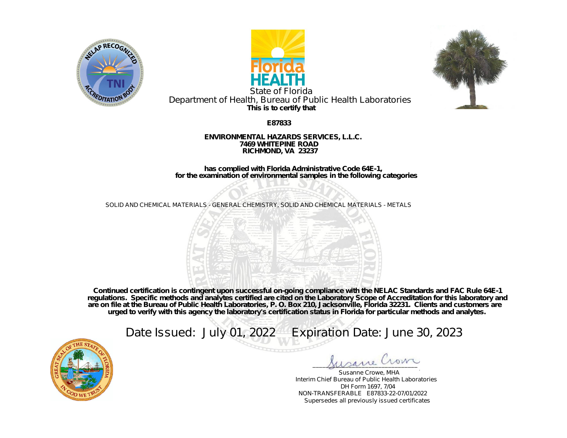





**This is to certify that** State of Florida Department of Health, Bureau of Public Health Laboratories

**E87833**

## **ENVIRONMENTAL HAZARDS SERVICES, L.L.C. 7469 WHITEPINE ROAD RICHMOND, VA 23237**

**has complied with Florida Administrative Code 64E-1, for the examination of environmental samples in the following categories**

SOLID AND CHEMICAL MATERIALS - GENERAL CHEMISTRY, SOLID AND CHEMICAL MATERIALS - METALS



**Continued certification is contingent upon successful on-going compliance with the NELAC Standards and FAC Rule 64E-1 regulations. Specific methods and analytes certified are cited on the Laboratory Scope of Accreditation for this laboratory and are on file at the Bureau of Public Health Laboratories, P. O. Box 210, Jacksonville, Florida 32231. Clients and customers are urged to verify with this agency the laboratory's certification status in Florida for particular methods and analytes.**

Date Issued: July 01, 2022 Expiration Date: June 30, 2023



\_\_\_\_\_\_\_\_\_\_\_\_\_\_\_\_\_\_\_\_\_\_\_\_\_\_\_\_\_\_\_\_

Susanne Crowe, MHA Interim Chief Bureau of Public Health Laboratories DH Form 1697, 7/04 NON-TRANSFERABLE E87833-22-07/01/2022 Supersedes all previously issued certificates